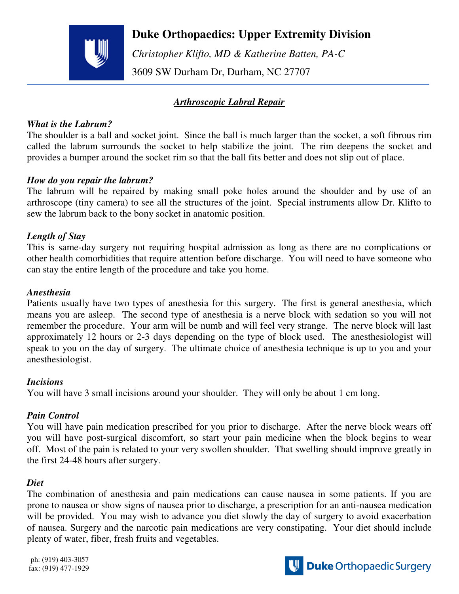

## **Duke Orthopaedics: Upper Extremity Division**

 *Christopher Klifto, MD & Katherine Batten, PA-C*  3609 SW Durham Dr, Durham, NC 27707

## *Arthroscopic Labral Repair*

#### *What is the Labrum?*

The shoulder is a ball and socket joint. Since the ball is much larger than the socket, a soft fibrous rim called the labrum surrounds the socket to help stabilize the joint. The rim deepens the socket and provides a bumper around the socket rim so that the ball fits better and does not slip out of place.

#### *How do you repair the labrum?*

The labrum will be repaired by making small poke holes around the shoulder and by use of an arthroscope (tiny camera) to see all the structures of the joint. Special instruments allow Dr. Klifto to sew the labrum back to the bony socket in anatomic position.

### *Length of Stay*

This is same-day surgery not requiring hospital admission as long as there are no complications or other health comorbidities that require attention before discharge. You will need to have someone who can stay the entire length of the procedure and take you home.

### *Anesthesia*

Patients usually have two types of anesthesia for this surgery. The first is general anesthesia, which means you are asleep. The second type of anesthesia is a nerve block with sedation so you will not remember the procedure. Your arm will be numb and will feel very strange. The nerve block will last approximately 12 hours or 2-3 days depending on the type of block used. The anesthesiologist will speak to you on the day of surgery. The ultimate choice of anesthesia technique is up to you and your anesthesiologist.

#### *Incisions*

You will have 3 small incisions around your shoulder. They will only be about 1 cm long.

### *Pain Control*

You will have pain medication prescribed for you prior to discharge. After the nerve block wears off you will have post-surgical discomfort, so start your pain medicine when the block begins to wear off. Most of the pain is related to your very swollen shoulder. That swelling should improve greatly in the first 24-48 hours after surgery.

### *Diet*

The combination of anesthesia and pain medications can cause nausea in some patients. If you are prone to nausea or show signs of nausea prior to discharge, a prescription for an anti-nausea medication will be provided. You may wish to advance you diet slowly the day of surgery to avoid exacerbation of nausea. Surgery and the narcotic pain medications are very constipating. Your diet should include plenty of water, fiber, fresh fruits and vegetables.

ph: (919) 403-3057 fax: (919) 477-1929